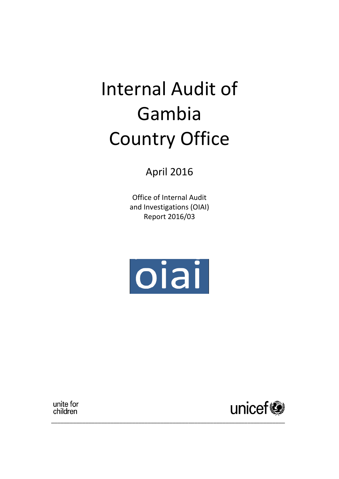# Internal Audit of Gambia Country Office

April 2016

Office of Internal Audit and Investigations (OIAI) Report 2016/03



\_\_\_\_\_\_\_\_\_\_\_\_\_\_\_\_\_\_\_\_\_\_\_\_\_\_\_\_\_\_\_\_\_\_\_\_\_\_\_\_\_\_\_\_\_\_\_\_\_\_\_\_\_\_\_\_\_\_\_\_\_\_\_\_\_\_\_\_\_\_\_\_\_\_\_

unite for children

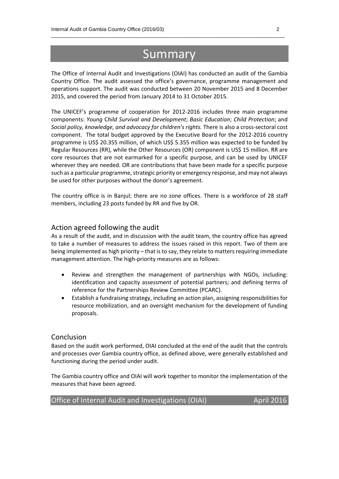# Summary

 $\_$  , and the set of the set of the set of the set of the set of the set of the set of the set of the set of the set of the set of the set of the set of the set of the set of the set of the set of the set of the set of th

The Office of Internal Audit and Investigations (OIAI) has conducted an audit of the Gambia Country Office. The audit assessed the office's governance, programme management and operations support. The audit was conducted between 20 November 2015 and 8 December 2015, and covered the period from January 2014 to 31 October 2015.

The UNICEF's programme of cooperation for 2012-2016 includes three main programme components: *Young* C*hild Survival and Development*; *Basic Education*; *Child Protection*; and *Social policy, knowledge, and advocacy for children's rights.* There is also a cross-sectoral cost component. The total budget approved by the Executive Board for the 2012-2016 country programme is US\$ 20.355 million, of which US\$ 5.355 million was expected to be funded by Regular Resources (RR), while the Other Resources (OR) component is US\$ 15 million. RR are core resources that are not earmarked for a specific purpose, and can be used by UNICEF wherever they are needed. OR are contributions that have been made for a specific purpose such as a particular programme, strategic priority or emergency response, and may not always be used for other purposes without the donor's agreement.

The country office is in Banjul; there are no zone offices. There is a workforce of 28 staff members, including 23 posts funded by RR and five by OR.

#### Action agreed following the audit

As a result of the audit, and in discussion with the audit team, the country office has agreed to take a number of measures to address the issues raised in this report. Two of them are being implemented as high priority – that is to say, they relate to matters requiring immediate management attention. The high-priority measures are as follows:

- Review and strengthen the management of partnerships with NGOs, including: identification and capacity assessment of potential partners; and defining terms of reference for the Partnerships Review Committee (PCARC).
- Establish a fundraising strategy, including an action plan, assigning responsibilities for resource mobilization, and an oversight mechanism for the development of funding proposals.

#### Conclusion

Based on the audit work performed, OIAI concluded at the end of the audit that the controls and processes over Gambia country office, as defined above, were generally established and functioning during the period under audit.

The Gambia country office and OIAI will work together to monitor the implementation of the measures that have been agreed.

Office of Internal Audit and Investigations (OIAI) April 2016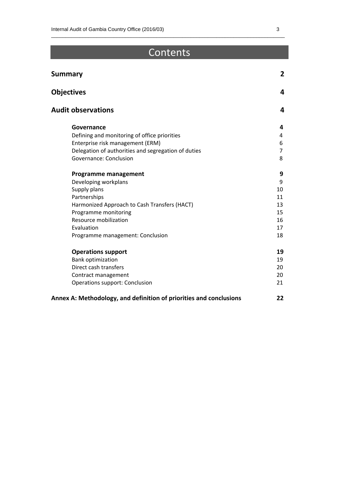# **Contents**

 $\_$  , and the set of the set of the set of the set of the set of the set of the set of the set of the set of the set of the set of the set of the set of the set of the set of the set of the set of the set of the set of th

| <b>Summary</b>                                                     | 2              |
|--------------------------------------------------------------------|----------------|
| <b>Objectives</b>                                                  | 4              |
| <b>Audit observations</b>                                          | 4              |
| Governance                                                         | 4              |
| Defining and monitoring of office priorities                       | 4              |
| Enterprise risk management (ERM)                                   | 6              |
| Delegation of authorities and segregation of duties                | $\overline{7}$ |
| Governance: Conclusion                                             | 8              |
| <b>Programme management</b>                                        | 9              |
| Developing workplans                                               | 9              |
| Supply plans                                                       | 10             |
| Partnerships                                                       | 11             |
| Harmonized Approach to Cash Transfers (HACT)                       | 13             |
| Programme monitoring                                               | 15             |
| Resource mobilization                                              | 16             |
| Evaluation                                                         | 17             |
| Programme management: Conclusion                                   | 18             |
| <b>Operations support</b>                                          | 19             |
| <b>Bank optimization</b>                                           | 19             |
| Direct cash transfers                                              | 20             |
| Contract management                                                | 20             |
| <b>Operations support: Conclusion</b>                              | 21             |
| Annex A: Methodology, and definition of priorities and conclusions | 22             |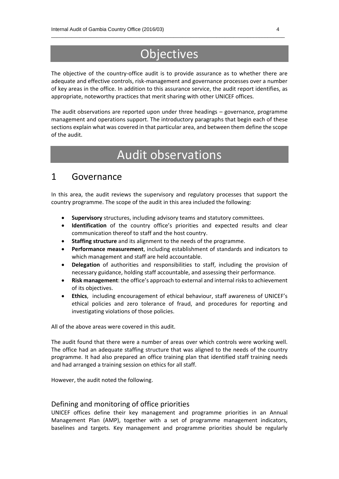# **Objectives**

 $\_$  , and the set of the set of the set of the set of the set of the set of the set of the set of the set of the set of the set of the set of the set of the set of the set of the set of the set of the set of the set of th

The objective of the country-office audit is to provide assurance as to whether there are adequate and effective controls, risk-management and governance processes over a number of key areas in the office. In addition to this assurance service, the audit report identifies, as appropriate, noteworthy practices that merit sharing with other UNICEF offices.

The audit observations are reported upon under three headings – governance, programme management and operations support. The introductory paragraphs that begin each of these sections explain what was covered in that particular area, and between them define the scope of the audit.

# Audit observations

### 1 Governance

In this area, the audit reviews the supervisory and regulatory processes that support the country programme. The scope of the audit in this area included the following:

- **Supervisory** structures, including advisory teams and statutory committees.
- **Identification** of the country office's priorities and expected results and clear communication thereof to staff and the host country.
- **Staffing structure** and its alignment to the needs of the programme.
- **Performance measurement**, including establishment of standards and indicators to which management and staff are held accountable.
- **Delegation** of authorities and responsibilities to staff, including the provision of necessary guidance, holding staff accountable, and assessing their performance.
- **Risk management**: the office's approach to external and internal risks to achievement of its objectives.
- **Ethics**, including encouragement of ethical behaviour, staff awareness of UNICEF's ethical policies and zero tolerance of fraud, and procedures for reporting and investigating violations of those policies.

All of the above areas were covered in this audit.

The audit found that there were a number of areas over which controls were working well. The office had an adequate staffing structure that was aligned to the needs of the country programme. It had also prepared an office training plan that identified staff training needs and had arranged a training session on ethics for all staff.

However, the audit noted the following.

#### Defining and monitoring of office priorities

UNICEF offices define their key management and programme priorities in an Annual Management Plan (AMP), together with a set of programme management indicators, baselines and targets. Key management and programme priorities should be regularly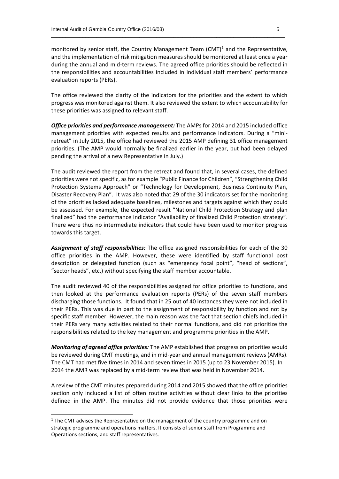monitored by senior staff, the Country Management Team (CMT)<sup>1</sup> and the Representative, and the implementation of risk mitigation measures should be monitored at least once a year during the annual and mid-term reviews. The agreed office priorities should be reflected in the responsibilities and accountabilities included in individual staff members' performance evaluation reports (PERs).

 $\_$  , and the set of the set of the set of the set of the set of the set of the set of the set of the set of the set of the set of the set of the set of the set of the set of the set of the set of the set of the set of th

The office reviewed the clarity of the indicators for the priorities and the extent to which progress was monitored against them. It also reviewed the extent to which accountability for these priorities was assigned to relevant staff.

*Office priorities and performance management:* The AMPs for 2014 and 2015 included office management priorities with expected results and performance indicators. During a "miniretreat" in July 2015, the office had reviewed the 2015 AMP defining 31 office management priorities. (The AMP would normally be finalized earlier in the year, but had been delayed pending the arrival of a new Representative in July.)

The audit reviewed the report from the retreat and found that, in several cases, the defined priorities were not specific, as for example "Public Finance for Children", "Strengthening Child Protection Systems Approach" or "Technology for Development, Business Continuity Plan, Disaster Recovery Plan". It was also noted that 29 of the 30 indicators set for the monitoring of the priorities lacked adequate baselines, milestones and targets against which they could be assessed. For example, the expected result "National Child Protection Strategy and plan finalized" had the performance indicator "Availability of finalized Child Protection strategy". There were thus no intermediate indicators that could have been used to monitor progress towards this target.

*Assignment of staff responsibilities:* The office assigned responsibilities for each of the 30 office priorities in the AMP. However, these were identified by staff functional post description or delegated function (such as "emergency focal point", "head of sections", "sector heads", etc.) without specifying the staff member accountable.

The audit reviewed 40 of the responsibilities assigned for office priorities to functions, and then looked at the performance evaluation reports (PERs) of the seven staff members discharging those functions. It found that in 25 out of 40 instances they were not included in their PERs. This was due in part to the assignment of responsibility by function and not by specific staff member. However, the main reason was the fact that section chiefs included in their PERs very many activities related to their normal functions, and did not prioritize the responsibilities related to the key management and programme priorities in the AMP.

*Monitoring of agreed office priorities:* The AMP established that progress on priorities would be reviewed during CMT meetings, and in mid-year and annual management reviews (AMRs). The CMT had met five times in 2014 and seven times in 2015 (up to 23 November 2015). In 2014 the AMR was replaced by a mid-term review that was held in November 2014.

A review of the CMT minutes prepared during 2014 and 2015 showed that the office priorities section only included a list of often routine activities without clear links to the priorities defined in the AMP. The minutes did not provide evidence that those priorities were

**.** 

 $<sup>1</sup>$  The CMT advises the Representative on the management of the country programme and on</sup> strategic programme and operations matters. It consists of senior staff from Programme and Operations sections, and staff representatives.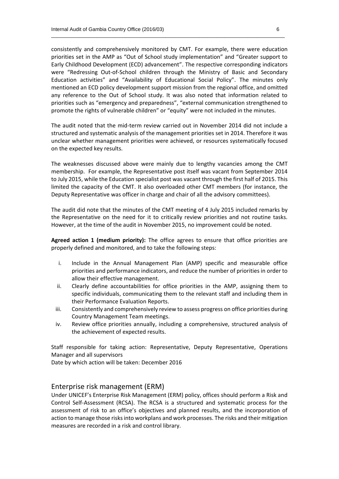consistently and comprehensively monitored by CMT. For example, there were education priorities set in the AMP as "Out of School study implementation" and "Greater support to Early Childhood Development (ECD) advancement". The respective corresponding indicators were "Redressing Out-of-School children through the Ministry of Basic and Secondary Education activities" and "Availability of Educational Social Policy". The minutes only mentioned an ECD policy development support mission from the regional office, and omitted any reference to the Out of School study. It was also noted that information related to priorities such as "emergency and preparedness", "external communication strengthened to promote the rights of vulnerable children" or "equity" were not included in the minutes.

 $\_$  , and the set of the set of the set of the set of the set of the set of the set of the set of the set of the set of the set of the set of the set of the set of the set of the set of the set of the set of the set of th

The audit noted that the mid-term review carried out in November 2014 did not include a structured and systematic analysis of the management priorities set in 2014. Therefore it was unclear whether management priorities were achieved, or resources systematically focused on the expected key results.

The weaknesses discussed above were mainly due to lengthy vacancies among the CMT membership. For example, the Representative post itself was vacant from September 2014 to July 2015, while the Education specialist post was vacant through the first half of 2015. This limited the capacity of the CMT. It also overloaded other CMT members (for instance, the Deputy Representative was officer in charge and chair of all the advisory committees).

The audit did note that the minutes of the CMT meeting of 4 July 2015 included remarks by the Representative on the need for it to critically review priorities and not routine tasks. However, at the time of the audit in November 2015, no improvement could be noted.

**Agreed action 1 (medium priority):** The office agrees to ensure that office priorities are properly defined and monitored, and to take the following steps:

- i. Include in the Annual Management Plan (AMP) specific and measurable office priorities and performance indicators, and reduce the number of priorities in order to allow their effective management.
- ii. Clearly define accountabilities for office priorities in the AMP, assigning them to specific individuals, communicating them to the relevant staff and including them in their Performance Evaluation Reports.
- iii. Consistently and comprehensively review to assess progress on office priorities during Country Management Team meetings.
- iv. Review office priorities annually, including a comprehensive, structured analysis of the achievement of expected results.

Staff responsible for taking action: Representative, Deputy Representative, Operations Manager and all supervisors

Date by which action will be taken: December 2016

#### Enterprise risk management (ERM)

Under UNICEF's Enterprise Risk Management (ERM) policy, offices should perform a Risk and Control Self-Assessment (RCSA). The RCSA is a structured and systematic process for the assessment of risk to an office's objectives and planned results, and the incorporation of action to manage those risks into workplans and work processes. The risks and their mitigation measures are recorded in a risk and control library.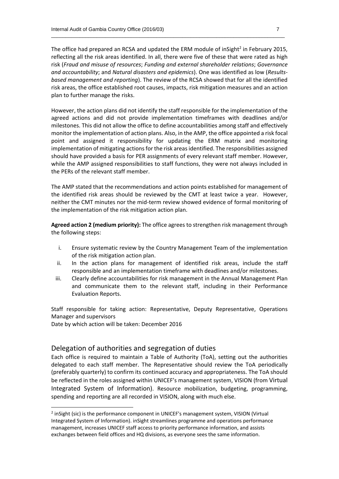The office had prepared an RCSA and updated the ERM module of inSight<sup>2</sup> in February 2015, reflecting all the risk areas identified. In all, there were five of these that were rated as high risk (*Fraud and misuse of resources*; *Funding and external shareholder relations*; *Governance and accountability*; and *Natural disasters and epidemics*). One was identified as low (*Resultsbased management and reporting*). The review of the RCSA showed that for all the identified risk areas, the office established root causes, impacts, risk mitigation measures and an action plan to further manage the risks.

 $\_$  , and the set of the set of the set of the set of the set of the set of the set of the set of the set of the set of the set of the set of the set of the set of the set of the set of the set of the set of the set of th

However, the action plans did not identify the staff responsible for the implementation of the agreed actions and did not provide implementation timeframes with deadlines and/or milestones. This did not allow the office to define accountabilities among staff and effectively monitor the implementation of action plans. Also, in the AMP, the office appointed a risk focal point and assigned it responsibility for updating the ERM matrix and monitoring implementation of mitigating actions for the risk areas identified. The responsibilities assigned should have provided a basis for PER assignments of every relevant staff member. However, while the AMP assigned responsibilities to staff functions, they were not always included in the PERs of the relevant staff member.

The AMP stated that the recommendations and action points established for management of the identified risk areas should be reviewed by the CMT at least twice a year. However, neither the CMT minutes nor the mid-term review showed evidence of formal monitoring of the implementation of the risk mitigation action plan.

**Agreed action 2 (medium priority):** The office agrees to strengthen risk management through the following steps:

- i. Ensure systematic review by the Country Management Team of the implementation of the risk mitigation action plan.
- ii. In the action plans for management of identified risk areas, include the staff responsible and an implementation timeframe with deadlines and/or milestones.
- iii. Clearly define accountabilities for risk management in the Annual Management Plan and communicate them to the relevant staff, including in their Performance Evaluation Reports.

Staff responsible for taking action: Representative, Deputy Representative, Operations Manager and supervisors

Date by which action will be taken: December 2016

1

#### Delegation of authorities and segregation of duties

Each office is required to maintain a Table of Authority (ToA), setting out the authorities delegated to each staff member. The Representative should review the ToA periodically (preferably quarterly) to confirm its continued accuracy and appropriateness. The ToA should be reflected in the roles assigned within UNICEF's management system, VISION (from Virtual Integrated System of Information). Resource mobilization, budgeting, programming, spending and reporting are all recorded in VISION, along with much else.

<sup>&</sup>lt;sup>2</sup> inSight (sic) is the performance component in UNICEF's management system, VISION (Virtual Integrated System of Information). inSight streamlines programme and operations performance management, increases UNICEF staff access to priority performance information, and assists exchanges between field offices and HQ divisions, as everyone sees the same information.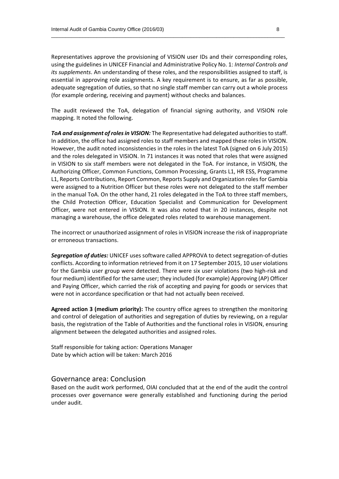Representatives approve the provisioning of VISION user IDs and their corresponding roles, using the guidelines in UNICEF Financial and Administrative Policy No. 1: *Internal Controls and its supplements*. An understanding of these roles, and the responsibilities assigned to staff, is essential in approving role assignments. A key requirement is to ensure, as far as possible, adequate segregation of duties, so that no single staff member can carry out a whole process (for example ordering, receiving and payment) without checks and balances.

 $\_$  , and the set of the set of the set of the set of the set of the set of the set of the set of the set of the set of the set of the set of the set of the set of the set of the set of the set of the set of the set of th

The audit reviewed the ToA, delegation of financial signing authority, and VISION role mapping. It noted the following.

*ToA and assignment of roles in VISION:* The Representative had delegated authorities to staff. In addition, the office had assigned roles to staff members and mapped these roles in VISION. However, the audit noted inconsistencies in the roles in the latest ToA (signed on 6 July 2015) and the roles delegated in VISION. In 71 instances it was noted that roles that were assigned in VISION to six staff members were not delegated in the ToA. For instance, in VISION, the Authorizing Officer, Common Functions, Common Processing, Grants L1, HR ESS, Programme L1, Reports Contributions, Report Common, Reports Supply and Organization rolesfor Gambia were assigned to a Nutrition Officer but these roles were not delegated to the staff member in the manual ToA. On the other hand, 21 roles delegated in the ToA to three staff members, the Child Protection Officer, Education Specialist and Communication for Development Officer, were not entered in VISION. It was also noted that in 20 instances, despite not managing a warehouse, the office delegated roles related to warehouse management.

The incorrect or unauthorized assignment of roles in VISION increase the risk of inappropriate or erroneous transactions.

*Segregation of duties:* UNICEF uses software called APPROVA to detect segregation-of-duties conflicts. According to information retrieved from it on 17 September 2015, 10 user violations for the Gambia user group were detected. There were six user violations (two high-risk and four medium) identified for the same user; they included (for example) Approving (AP) Officer and Paying Officer, which carried the risk of accepting and paying for goods or services that were not in accordance specification or that had not actually been received.

**Agreed action 3 (medium priority):** The country office agrees to strengthen the monitoring and control of delegation of authorities and segregation of duties by reviewing, on a regular basis, the registration of the Table of Authorities and the functional roles in VISION, ensuring alignment between the delegated authorities and assigned roles.

Staff responsible for taking action: Operations Manager Date by which action will be taken: March 2016

#### Governance area: Conclusion

Based on the audit work performed, OIAI concluded that at the end of the audit the control processes over governance were generally established and functioning during the period under audit.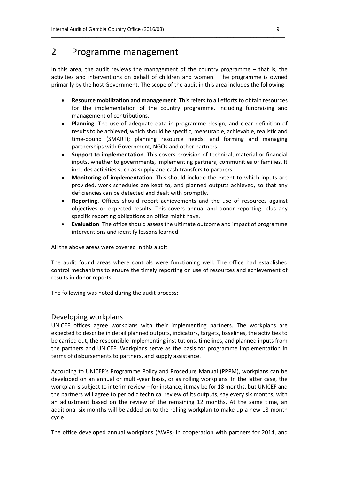## 2 Programme management

In this area, the audit reviews the management of the country programme  $-$  that is, the activities and interventions on behalf of children and women. The programme is owned primarily by the host Government. The scope of the audit in this area includes the following:

 $\_$  , and the set of the set of the set of the set of the set of the set of the set of the set of the set of the set of the set of the set of the set of the set of the set of the set of the set of the set of the set of th

- **Resource mobilization and management**. This refers to all efforts to obtain resources for the implementation of the country programme, including fundraising and management of contributions.
- **Planning**. The use of adequate data in programme design, and clear definition of results to be achieved, which should be specific, measurable, achievable, realistic and time-bound (SMART); planning resource needs; and forming and managing partnerships with Government, NGOs and other partners.
- **Support to implementation**. This covers provision of technical, material or financial inputs, whether to governments, implementing partners, communities or families. It includes activities such as supply and cash transfers to partners.
- **Monitoring of implementation**. This should include the extent to which inputs are provided, work schedules are kept to, and planned outputs achieved, so that any deficiencies can be detected and dealt with promptly.
- **Reporting.** Offices should report achievements and the use of resources against objectives or expected results. This covers annual and donor reporting, plus any specific reporting obligations an office might have.
- **Evaluation**. The office should assess the ultimate outcome and impact of programme interventions and identify lessons learned.

All the above areas were covered in this audit.

The audit found areas where controls were functioning well. The office had established control mechanisms to ensure the timely reporting on use of resources and achievement of results in donor reports.

The following was noted during the audit process:

#### Developing workplans

UNICEF offices agree workplans with their implementing partners. The workplans are expected to describe in detail planned outputs, indicators, targets, baselines, the activities to be carried out, the responsible implementing institutions, timelines, and planned inputs from the partners and UNICEF. Workplans serve as the basis for programme implementation in terms of disbursements to partners, and supply assistance.

According to UNICEF's Programme Policy and Procedure Manual (PPPM), workplans can be developed on an annual or multi-year basis, or as rolling workplans. In the latter case, the workplan is subject to interim review – for instance, it may be for 18 months, but UNICEF and the partners will agree to periodic technical review of its outputs, say every six months, with an adjustment based on the review of the remaining 12 months. At the same time, an additional six months will be added on to the rolling workplan to make up a new 18-month cycle.

The office developed annual workplans (AWPs) in cooperation with partners for 2014, and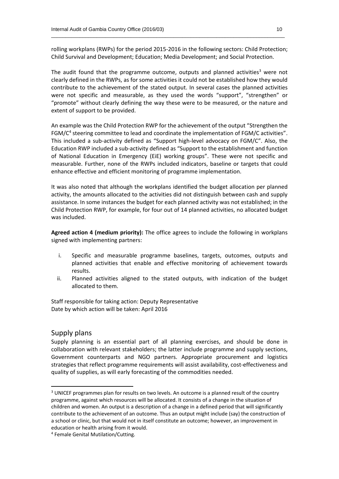rolling workplans (RWPs) for the period 2015-2016 in the following sectors: Child Protection; Child Survival and Development; Education; Media Development; and Social Protection.

 $\_$  , and the set of the set of the set of the set of the set of the set of the set of the set of the set of the set of the set of the set of the set of the set of the set of the set of the set of the set of the set of th

The audit found that the programme outcome, outputs and planned activities<sup>3</sup> were not clearly defined in the RWPs, as for some activities it could not be established how they would contribute to the achievement of the stated output. In several cases the planned activities were not specific and measurable, as they used the words "support", "strengthen" or "promote" without clearly defining the way these were to be measured, or the nature and extent of support to be provided.

An example was the Child Protection RWP for the achievement of the output "Strengthen the FGM/C<sup>4</sup> steering committee to lead and coordinate the implementation of FGM/C activities". This included a sub-activity defined as "Support high-level advocacy on FGM/C". Also, the Education RWP included a sub-activity defined as "Support to the establishment and function of National Education in Emergency (EiE) working groups". These were not specific and measurable. Further, none of the RWPs included indicators, baseline or targets that could enhance effective and efficient monitoring of programme implementation.

It was also noted that although the workplans identified the budget allocation per planned activity, the amounts allocated to the activities did not distinguish between cash and supply assistance. In some instances the budget for each planned activity was not established; in the Child Protection RWP, for example, for four out of 14 planned activities, no allocated budget was included.

**Agreed action 4 (medium priority):** The office agrees to include the following in workplans signed with implementing partners:

- i. Specific and measurable programme baselines, targets, outcomes, outputs and planned activities that enable and effective monitoring of achievement towards results.
- ii. Planned activities aligned to the stated outputs, with indication of the budget allocated to them.

Staff responsible for taking action: Deputy Representative Date by which action will be taken: April 2016

#### Supply plans

**.** 

Supply planning is an essential part of all planning exercises, and should be done in collaboration with relevant stakeholders; the latter include programme and supply sections, Government counterparts and NGO partners. Appropriate procurement and logistics strategies that reflect programme requirements will assist availability, cost-effectiveness and quality of supplies, as will early forecasting of the commodities needed.

<sup>&</sup>lt;sup>3</sup> UNICEF programmes plan for results on two levels. An outcome is a planned result of the country programme, against which resources will be allocated. It consists of a change in the situation of children and women. An output is a description of a change in a defined period that will significantly contribute to the achievement of an outcome. Thus an output might include (say) the construction of a school or clinic, but that would not in itself constitute an outcome; however, an improvement in education or health arising from it would.

<sup>4</sup> Female Genital Mutilation/Cutting.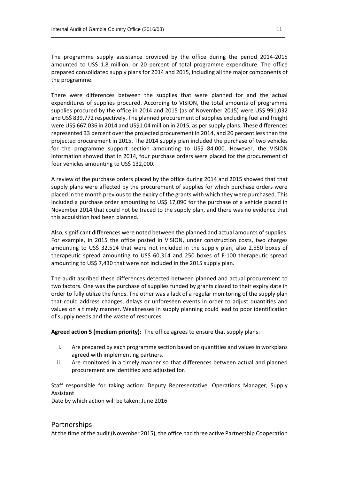The programme supply assistance provided by the office during the period 2014-2015 amounted to US\$ 1.8 million, or 20 percent of total programme expenditure. The office prepared consolidated supply plans for 2014 and 2015, including all the major components of the programme.

 $\_$  , and the set of the set of the set of the set of the set of the set of the set of the set of the set of the set of the set of the set of the set of the set of the set of the set of the set of the set of the set of th

There were differences between the supplies that were planned for and the actual expenditures of supplies procured. According to VISION, the total amounts of programme supplies procured by the office in 2014 and 2015 (as of November 2015) were US\$ 991,032 and US\$ 839,772 respectively. The planned procurement of supplies excluding fuel and freight were US\$ 667,036 in 2014 and US\$1.04 million in 2015, as per supply plans. These differences represented 33 percent over the projected procurement in 2014, and 20 percent less than the projected procurement in 2015. The 2014 supply plan included the purchase of two vehicles for the programme support section amounting to US\$ 84,000. However, the VISION information showed that in 2014, four purchase orders were placed for the procurement of four vehicles amounting to US\$ 132,000.

A review of the purchase orders placed by the office during 2014 and 2015 showed that that supply plans were affected by the procurement of supplies for which purchase orders were placed in the month previous to the expiry of the grants with which they were purchased. This included a purchase order amounting to US\$ 17,090 for the purchase of a vehicle placed in November 2014 that could not be traced to the supply plan, and there was no evidence that this acquisition had been planned.

Also, significant differences were noted between the planned and actual amounts of supplies. For example, in 2015 the office posted in VISION, under construction costs, two charges amounting to US\$ 32,514 that were not included in the supply plan; also 2,550 boxes of therapeutic spread amounting to US\$ 60,314 and 250 boxes of F-100 therapeutic spread amounting to US\$ 7,430 that were not included in the 2015 supply plan.

The audit ascribed these differences detected between planned and actual procurement to two factors. One was the purchase of supplies funded by grants closed to their expiry date in order to fully utilize the funds. The other was a lack of a regular monitoring of the supply plan that could address changes, delays or unforeseen events in order to adjust quantities and values on a timely manner. Weaknesses in supply planning could lead to poor identification of supply needs and the waste of resources.

**Agreed action 5 (medium priority):** The office agrees to ensure that supply plans:

- i. Are prepared by each programme section based on quantities and values in workplans agreed with implementing partners.
- ii. Are monitored in a timely manner so that differences between actual and planned procurement are identified and adjusted for.

Staff responsible for taking action: Deputy Representative, Operations Manager, Supply Assistant

Date by which action will be taken: June 2016

#### Partnerships

At the time of the audit (November 2015), the office had three active Partnership Cooperation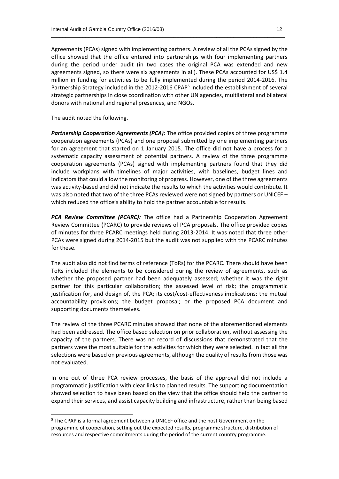Agreements (PCAs) signed with implementing partners. A review of all the PCAs signed by the office showed that the office entered into partnerships with four implementing partners during the period under audit (in two cases the original PCA was extended and new agreements signed, so there were six agreements in all). These PCAs accounted for US\$ 1.4 million in funding for activities to be fully implemented during the period 2014-2016. The Partnership Strategy included in the 2012-2016 CPAP<sup>5</sup> included the establishment of several strategic partnerships in close coordination with other UN agencies, multilateral and bilateral donors with national and regional presences, and NGOs.

The audit noted the following.

**.** 

*Partnership Cooperation Agreements (PCA):* The office provided copies of three programme cooperation agreements (PCAs) and one proposal submitted by one implementing partners for an agreement that started on 1 January 2015. The office did not have a process for a systematic capacity assessment of potential partners. A review of the three programme cooperation agreements (PCAs) signed with implementing partners found that they did include workplans with timelines of major activities, with baselines, budget lines and indicators that could allow the monitoring of progress. However, one of the three agreements was activity-based and did not indicate the results to which the activities would contribute. It was also noted that two of the three PCAs reviewed were not signed by partners or UNICEF – which reduced the office's ability to hold the partner accountable for results.

*PCA Review Committee (PCARC):* The office had a Partnership Cooperation Agreement Review Committee (PCARC) to provide reviews of PCA proposals. The office provided copies of minutes for three PCARC meetings held during 2013-2014. It was noted that three other PCAs were signed during 2014-2015 but the audit was not supplied with the PCARC minutes for these.

The audit also did not find terms of reference (ToRs) for the PCARC. There should have been ToRs included the elements to be considered during the review of agreements, such as whether the proposed partner had been adequately assessed; whether it was the right partner for this particular collaboration; the assessed level of risk; the programmatic justification for, and design of, the PCA; its cost/cost-effectiveness implications; the mutual accountability provisions; the budget proposal; or the proposed PCA document and supporting documents themselves.

The review of the three PCARC minutes showed that none of the aforementioned elements had been addressed. The office based selection on prior collaboration, without assessing the capacity of the partners. There was no record of discussions that demonstrated that the partners were the most suitable for the activities for which they were selected. In fact all the selections were based on previous agreements, although the quality of results from those was not evaluated.

In one out of three PCA review processes, the basis of the approval did not include a programmatic justification with clear links to planned results. The supporting documentation showed selection to have been based on the view that the office should help the partner to expand their services, and assist capacity building and infrastructure, rather than being based

<sup>&</sup>lt;sup>5</sup> The CPAP is a formal agreement between a UNICEF office and the host Government on the programme of cooperation, setting out the expected results, programme structure, distribution of resources and respective commitments during the period of the current country programme.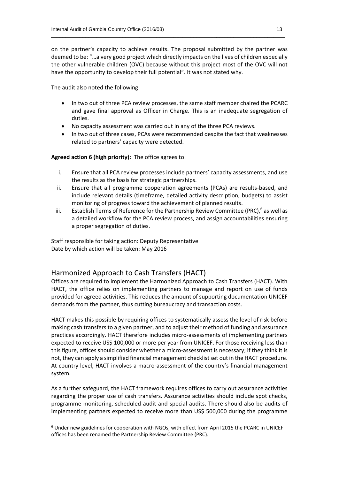on the partner's capacity to achieve results. The proposal submitted by the partner was deemed to be: "…a very good project which directly impacts on the lives of children especially the other vulnerable children (OVC) because without this project most of the OVC will not have the opportunity to develop their full potential". It was not stated why.

 $\_$  , and the set of the set of the set of the set of the set of the set of the set of the set of the set of the set of the set of the set of the set of the set of the set of the set of the set of the set of the set of th

The audit also noted the following:

- In two out of three PCA review processes, the same staff member chaired the PCARC and gave final approval as Officer in Charge. This is an inadequate segregation of duties.
- No capacity assessment was carried out in any of the three PCA reviews.
- In two out of three cases, PCAs were recommended despite the fact that weaknesses related to partners' capacity were detected.

**Agreed action 6 (high priority):** The office agrees to:

- i. Ensure that all PCA review processes include partners' capacity assessments, and use the results as the basis for strategic partnerships.
- ii. Ensure that all programme cooperation agreements (PCAs) are results-based, and include relevant details (timeframe, detailed activity description, budgets) to assist monitoring of progress toward the achievement of planned results.
- iii. Establish Terms of Reference for the Partnership Review Committee (PRC), $^6$  as well as a detailed workflow for the PCA review process, and assign accountabilities ensuring a proper segregation of duties.

Staff responsible for taking action: Deputy Representative Date by which action will be taken: May 2016

#### Harmonized Approach to Cash Transfers (HACT)

 $\overline{a}$ 

Offices are required to implement the Harmonized Approach to Cash Transfers (HACT). With HACT, the office relies on implementing partners to manage and report on use of funds provided for agreed activities. This reduces the amount of supporting documentation UNICEF demands from the partner, thus cutting bureaucracy and transaction costs.

HACT makes this possible by requiring offices to systematically assess the level of risk before making cash transfers to a given partner, and to adjust their method of funding and assurance practices accordingly. HACT therefore includes micro-assessments of implementing partners expected to receive US\$ 100,000 or more per year from UNICEF. For those receiving less than this figure, offices should consider whether a micro-assessment is necessary; if they think it is not, they can apply a simplified financial management checklist set out in the HACT procedure. At country level, HACT involves a macro-assessment of the country's financial management system.

As a further safeguard, the HACT framework requires offices to carry out assurance activities regarding the proper use of cash transfers. Assurance activities should include spot checks, programme monitoring, scheduled audit and special audits. There should also be audits of implementing partners expected to receive more than US\$ 500,000 during the programme

<sup>6</sup> Under new guidelines for cooperation with NGOs, with effect from April 2015 the PCARC in UNICEF offices has been renamed the Partnership Review Committee (PRC).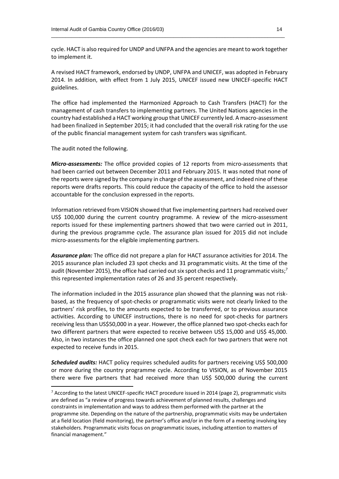cycle. HACT is also required for UNDP and UNFPA and the agencies are meant to work together to implement it.

 $\_$  , and the set of the set of the set of the set of the set of the set of the set of the set of the set of the set of the set of the set of the set of the set of the set of the set of the set of the set of the set of th

A revised HACT framework, endorsed by UNDP, UNFPA and UNICEF, was adopted in February 2014. In addition, with effect from 1 July 2015, UNICEF issued new UNICEF-specific HACT guidelines.

The office had implemented the Harmonized Approach to Cash Transfers (HACT) for the management of cash transfers to implementing partners. The United Nations agencies in the country had established a HACT working group that UNICEF currently led. A macro-assessment had been finalized in September 2015; it had concluded that the overall risk rating for the use of the public financial management system for cash transfers was significant.

The audit noted the following.

**.** 

*Micro-assessments:* The office provided copies of 12 reports from micro-assessments that had been carried out between December 2011 and February 2015. It was noted that none of the reports were signed by the company in charge of the assessment, and indeed nine of these reports were drafts reports. This could reduce the capacity of the office to hold the assessor accountable for the conclusion expressed in the reports.

Information retrieved from VISION showed that five implementing partners had received over US\$ 100,000 during the current country programme. A review of the micro-assessment reports issued for these implementing partners showed that two were carried out in 2011, during the previous programme cycle. The assurance plan issued for 2015 did not include micro-assessments for the eligible implementing partners.

*Assurance plan:* The office did not prepare a plan for HACT assurance activities for 2014. The 2015 assurance plan included 23 spot checks and 31 programmatic visits. At the time of the audit (November 2015), the office had carried out six spot checks and 11 programmatic visits;<sup>7</sup> this represented implementation rates of 26 and 35 percent respectively.

The information included in the 2015 assurance plan showed that the planning was not riskbased, as the frequency of spot-checks or programmatic visits were not clearly linked to the partners' risk profiles, to the amounts expected to be transferred, or to previous assurance activities. According to UNICEF instructions, there is no need for spot-checks for partners receiving less than US\$50,000 in a year. However, the office planned two spot-checks each for two different partners that were expected to receive between US\$ 15,000 and US\$ 45,000. Also, in two instances the office planned one spot check each for two partners that were not expected to receive funds in 2015.

*Scheduled audits:* HACT policy requires scheduled audits for partners receiving US\$ 500,000 or more during the country programme cycle. According to VISION, as of November 2015 there were five partners that had received more than US\$ 500,000 during the current

 $7$  According to the latest UNICEF-specific HACT procedure issued in 2014 (page 2), programmatic visits are defined as "a review of progress towards achievement of planned results, challenges and constraints in implementation and ways to address them performed with the partner at the programme site. Depending on the nature of the partnership, programmatic visits may be undertaken at a field location (field monitoring), the partner's office and/or in the form of a meeting involving key stakeholders. Programmatic visits focus on programmatic issues, including attention to matters of financial management."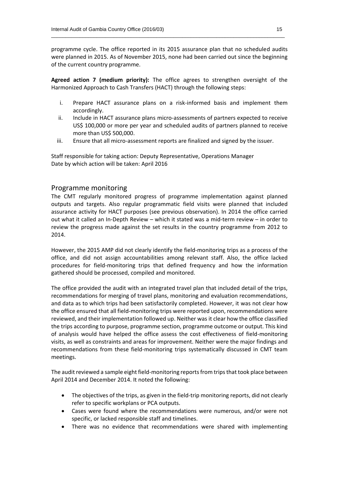programme cycle. The office reported in its 2015 assurance plan that no scheduled audits were planned in 2015. As of November 2015, none had been carried out since the beginning of the current country programme.

 $\_$  , and the set of the set of the set of the set of the set of the set of the set of the set of the set of the set of the set of the set of the set of the set of the set of the set of the set of the set of the set of th

**Agreed action 7 (medium priority):** The office agrees to strengthen oversight of the Harmonized Approach to Cash Transfers (HACT) through the following steps:

- i. Prepare HACT assurance plans on a risk-informed basis and implement them accordingly.
- ii. Include in HACT assurance plans micro-assessments of partners expected to receive US\$ 100,000 or more per year and scheduled audits of partners planned to receive more than US\$ 500,000.
- iii. Ensure that all micro-assessment reports are finalized and signed by the issuer.

Staff responsible for taking action: Deputy Representative, Operations Manager Date by which action will be taken: April 2016

#### Programme monitoring

The CMT regularly monitored progress of programme implementation against planned outputs and targets. Also regular programmatic field visits were planned that included assurance activity for HACT purposes (see previous observation). In 2014 the office carried out what it called an In-Depth Review – which it stated was a mid-term review – in order to review the progress made against the set results in the country programme from 2012 to 2014.

However, the 2015 AMP did not clearly identify the field-monitoring trips as a process of the office, and did not assign accountabilities among relevant staff. Also, the office lacked procedures for field-monitoring trips that defined frequency and how the information gathered should be processed, compiled and monitored.

The office provided the audit with an integrated travel plan that included detail of the trips, recommendations for merging of travel plans, monitoring and evaluation recommendations, and data as to which trips had been satisfactorily completed. However, it was not clear how the office ensured that all field-monitoring trips were reported upon, recommendations were reviewed, and their implementation followed up. Neither was it clear how the office classified the trips according to purpose, programme section, programme outcome or output. This kind of analysis would have helped the office assess the cost effectiveness of field-monitoring visits, as well as constraints and areas for improvement. Neither were the major findings and recommendations from these field-monitoring trips systematically discussed in CMT team meetings.

The audit reviewed a sample eight field-monitoring reports from tripsthat took place between April 2014 and December 2014. It noted the following:

- The objectives of the trips, as given in the field-trip monitoring reports, did not clearly refer to specific workplans or PCA outputs.
- Cases were found where the recommendations were numerous, and/or were not specific, or lacked responsible staff and timelines.
- There was no evidence that recommendations were shared with implementing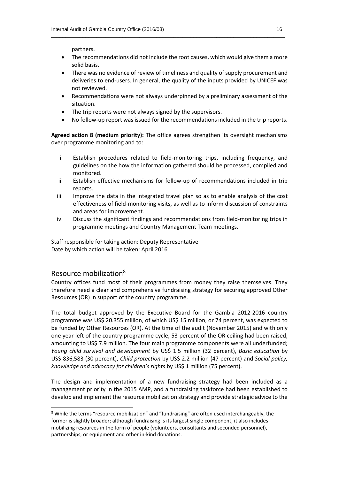partners.

 The recommendations did not include the root causes, which would give them a more solid basis.

 $\_$  , and the set of the set of the set of the set of the set of the set of the set of the set of the set of the set of the set of the set of the set of the set of the set of the set of the set of the set of the set of th

- There was no evidence of review of timeliness and quality of supply procurement and deliveries to end-users. In general, the quality of the inputs provided by UNICEF was not reviewed.
- Recommendations were not always underpinned by a preliminary assessment of the situation.
- The trip reports were not always signed by the supervisors.
- No follow-up report was issued for the recommendations included in the trip reports.

**Agreed action 8 (medium priority):** The office agrees strengthen its oversight mechanisms over programme monitoring and to:

- i. Establish procedures related to field-monitoring trips, including frequency, and guidelines on the how the information gathered should be processed, compiled and monitored.
- ii. Establish effective mechanisms for follow-up of recommendations included in trip reports.
- iii. Improve the data in the integrated travel plan so as to enable analysis of the cost effectiveness of field-monitoring visits, as well as to inform discussion of constraints and areas for improvement.
- iv. Discuss the significant findings and recommendations from field-monitoring trips in programme meetings and Country Management Team meetings.

Staff responsible for taking action: Deputy Representative Date by which action will be taken: April 2016

#### Resource mobilization<sup>8</sup>

1

Country offices fund most of their programmes from money they raise themselves. They therefore need a clear and comprehensive fundraising strategy for securing approved Other Resources (OR) in support of the country programme.

The total budget approved by the Executive Board for the Gambia 2012-2016 country programme was US\$ 20.355 million, of which US\$ 15 million, or 74 percent, was expected to be funded by Other Resources (OR). At the time of the audit (November 2015) and with only one year left of the country programme cycle, 53 percent of the OR ceiling had been raised, amounting to US\$ 7.9 million. The four main programme components were all underfunded; *Young child survival and development* by US\$ 1.5 million (32 percent), *Basic education* by US\$ 836,583 (30 percent), *Child protection* by US\$ 2.2 million (47 percent) and *Social policy, knowledge and advocacy for children's rights* by US\$ 1 million (75 percent).

The design and implementation of a new fundraising strategy had been included as a management priority in the 2015 AMP, and a fundraising taskforce had been established to develop and implement the resource mobilization strategy and provide strategic advice to the

<sup>&</sup>lt;sup>8</sup> While the terms "resource mobilization" and "fundraising" are often used interchangeably, the former is slightly broader; although fundraising is its largest single component, it also includes mobilizing resources in the form of people (volunteers, consultants and seconded personnel), partnerships, or equipment and other in-kind donations.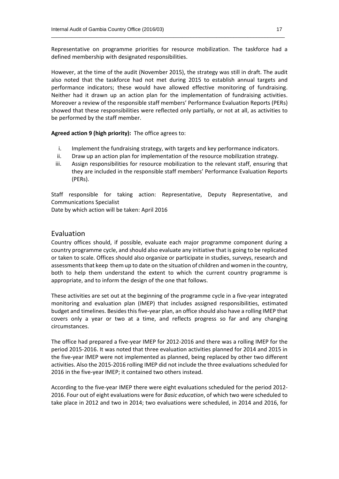Representative on programme priorities for resource mobilization. The taskforce had a defined membership with designated responsibilities.

 $\_$  , and the set of the set of the set of the set of the set of the set of the set of the set of the set of the set of the set of the set of the set of the set of the set of the set of the set of the set of the set of th

However, at the time of the audit (November 2015), the strategy was still in draft. The audit also noted that the taskforce had not met during 2015 to establish annual targets and performance indicators; these would have allowed effective monitoring of fundraising. Neither had it drawn up an action plan for the implementation of fundraising activities. Moreover a review of the responsible staff members' Performance Evaluation Reports (PERs) showed that these responsibilities were reflected only partially, or not at all, as activities to be performed by the staff member.

#### **Agreed action 9 (high priority):** The office agrees to:

- i. Implement the fundraising strategy, with targets and key performance indicators.
- ii. Draw up an action plan for implementation of the resource mobilization strategy.
- iii. Assign responsibilities for resource mobilization to the relevant staff, ensuring that they are included in the responsible staff members' Performance Evaluation Reports (PERs).

Staff responsible for taking action: Representative, Deputy Representative, and Communications Specialist

Date by which action will be taken: April 2016

#### Evaluation

Country offices should, if possible, evaluate each major programme component during a country programme cycle, and should also evaluate any initiative that is going to be replicated or taken to scale. Offices should also organize or participate in studies, surveys, research and assessments that keep them up to date on the situation of children and women in the country, both to help them understand the extent to which the current country programme is appropriate, and to inform the design of the one that follows.

These activities are set out at the beginning of the programme cycle in a five-year integrated monitoring and evaluation plan (IMEP) that includes assigned responsibilities, estimated budget and timelines. Besides this five-year plan, an office should also have a rolling IMEP that covers only a year or two at a time, and reflects progress so far and any changing circumstances.

The office had prepared a five-year IMEP for 2012-2016 and there was a rolling IMEP for the period 2015-2016. It was noted that three evaluation activities planned for 2014 and 2015 in the five-year IMEP were not implemented as planned, being replaced by other two different activities. Also the 2015-2016 rolling IMEP did not include the three evaluations scheduled for 2016 in the five-year IMEP; it contained two others instead.

According to the five-year IMEP there were eight evaluations scheduled for the period 2012- 2016. Four out of eight evaluations were for *Basic education*, of which two were scheduled to take place in 2012 and two in 2014; two evaluations were scheduled, in 2014 and 2016, for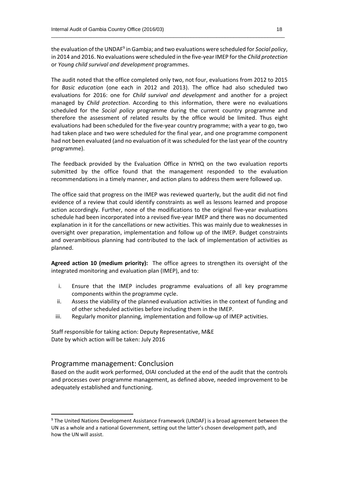the evaluation of the UNDAF<sup>9</sup> in Gambia; and two evaluations were scheduled for *Social policy*, in 2014 and 2016. No evaluations were scheduled in the five-year IMEP forthe *Child protection* or *Young child survival and development* programmes.

 $\_$  , and the set of the set of the set of the set of the set of the set of the set of the set of the set of the set of the set of the set of the set of the set of the set of the set of the set of the set of the set of th

The audit noted that the office completed only two, not four, evaluations from 2012 to 2015 for *Basic education* (one each in 2012 and 2013). The office had also scheduled two evaluations for 2016: one for *Child survival and development* and another for a project managed by *Child protection*. According to this information, there were no evaluations scheduled for the *Social policy* programme during the current country programme and therefore the assessment of related results by the office would be limited. Thus eight evaluations had been scheduled for the five-year country programme; with a year to go, two had taken place and two were scheduled for the final year, and one programme component had not been evaluated (and no evaluation of it was scheduled for the last year of the country programme).

The feedback provided by the Evaluation Office in NYHQ on the two evaluation reports submitted by the office found that the management responded to the evaluation recommendations in a timely manner, and action plans to address them were followed up.

The office said that progress on the IMEP was reviewed quarterly, but the audit did not find evidence of a review that could identify constraints as well as lessons learned and propose action accordingly. Further, none of the modifications to the original five-year evaluations schedule had been incorporated into a revised five-year IMEP and there was no documented explanation in it for the cancellations or new activities. This was mainly due to weaknesses in oversight over preparation, implementation and follow up of the IMEP. Budget constraints and overambitious planning had contributed to the lack of implementation of activities as planned.

**Agreed action 10 (medium priority):** The office agrees to strengthen its oversight of the integrated monitoring and evaluation plan (IMEP), and to:

- i. Ensure that the IMEP includes programme evaluations of all key programme components within the programme cycle.
- ii. Assess the viability of the planned evaluation activities in the context of funding and of other scheduled activities before including them in the IMEP.
- iii. Regularly monitor planning, implementation and follow-up of IMEP activities.

Staff responsible for taking action: Deputy Representative, M&E Date by which action will be taken: July 2016

#### Programme management: Conclusion

**.** 

Based on the audit work performed, OIAI concluded at the end of the audit that the controls and processes over programme management, as defined above, needed improvement to be adequately established and functioning.

<sup>&</sup>lt;sup>9</sup> The United Nations Development Assistance Framework (UNDAF) is a broad agreement between the UN as a whole and a national Government, setting out the latter's chosen development path, and how the UN will assist.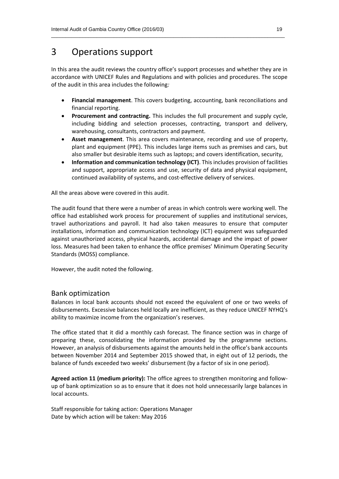## 3 Operations support

In this area the audit reviews the country office's support processes and whether they are in accordance with UNICEF Rules and Regulations and with policies and procedures. The scope of the audit in this area includes the following*:*

 $\_$  , and the set of the set of the set of the set of the set of the set of the set of the set of the set of the set of the set of the set of the set of the set of the set of the set of the set of the set of the set of th

- **Financial management**. This covers budgeting, accounting, bank reconciliations and financial reporting.
- **Procurement and contracting.** This includes the full procurement and supply cycle, including bidding and selection processes, contracting, transport and delivery, warehousing, consultants, contractors and payment.
- **Asset management**. This area covers maintenance, recording and use of property, plant and equipment (PPE). This includes large items such as premises and cars, but also smaller but desirable items such as laptops; and covers identification, security,
- **Information and communication technology (ICT)**. This includes provision of facilities and support, appropriate access and use, security of data and physical equipment, continued availability of systems, and cost-effective delivery of services.

All the areas above were covered in this audit.

The audit found that there were a number of areas in which controls were working well. The office had established work process for procurement of supplies and institutional services, travel authorizations and payroll. It had also taken measures to ensure that computer installations, information and communication technology (ICT) equipment was safeguarded against unauthorized access, physical hazards, accidental damage and the impact of power loss. Measures had been taken to enhance the office premises' Minimum Operating Security Standards (MOSS) compliance.

However, the audit noted the following.

#### Bank optimization

Balances in local bank accounts should not exceed the equivalent of one or two weeks of disbursements. Excessive balances held locally are inefficient, as they reduce UNICEF NYHQ's ability to maximize income from the organization's reserves.

The office stated that it did a monthly cash forecast. The finance section was in charge of preparing these, consolidating the information provided by the programme sections. However, an analysis of disbursements against the amounts held in the office's bank accounts between November 2014 and September 2015 showed that, in eight out of 12 periods, the balance of funds exceeded two weeks' disbursement (by a factor of six in one period).

**Agreed action 11 (medium priority):** The office agrees to strengthen monitoring and followup of bank optimization so as to ensure that it does not hold unnecessarily large balances in local accounts.

Staff responsible for taking action: Operations Manager Date by which action will be taken: May 2016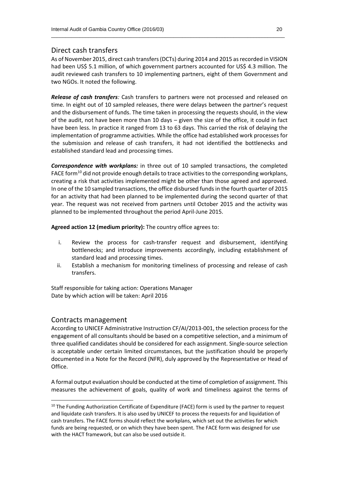#### Direct cash transfers

As of November 2015, direct cash transfers (DCTs) during 2014 and 2015 as recorded in VISION had been US\$ 5.1 million, of which government partners accounted for US\$ 4.3 million. The audit reviewed cash transfers to 10 implementing partners, eight of them Government and two NGOs. It noted the following.

 $\_$  , and the set of the set of the set of the set of the set of the set of the set of the set of the set of the set of the set of the set of the set of the set of the set of the set of the set of the set of the set of th

*Release of cash transfers:* Cash transfers to partners were not processed and released on time. In eight out of 10 sampled releases, there were delays between the partner's request and the disbursement of funds. The time taken in processing the requests should, in the view of the audit, not have been more than 10 days – given the size of the office, it could in fact have been less. In practice it ranged from 13 to 63 days. This carried the risk of delaying the implementation of programme activities. While the office had established work processes for the submission and release of cash transfers, it had not identified the bottlenecks and established standard lead and processing times.

*Correspondence with workplans:* in three out of 10 sampled transactions, the completed FACE form<sup>10</sup> did not provide enough details to trace activities to the corresponding workplans, creating a risk that activities implemented might be other than those agreed and approved. In one of the 10 sampled transactions, the office disbursed funds in the fourth quarter of 2015 for an activity that had been planned to be implemented during the second quarter of that year. The request was not received from partners until October 2015 and the activity was planned to be implemented throughout the period April-June 2015.

**Agreed action 12 (medium priority):** The country office agrees to:

- i. Review the process for cash-transfer request and disbursement, identifying bottlenecks; and introduce improvements accordingly, including establishment of standard lead and processing times.
- ii. Establish a mechanism for monitoring timeliness of processing and release of cash transfers.

Staff responsible for taking action: Operations Manager Date by which action will be taken: April 2016

#### Contracts management

**.** 

According to UNICEF Administrative Instruction CF/AI/2013-001, the selection process for the engagement of all consultants should be based on a competitive selection, and a minimum of three qualified candidates should be considered for each assignment. Single-source selection is acceptable under certain limited circumstances, but the justification should be properly documented in a Note for the Record (NFR), duly approved by the Representative or Head of Office.

A formal output evaluation should be conducted at the time of completion of assignment. This measures the achievement of goals, quality of work and timeliness against the terms of

 $10$  The Funding Authorization Certificate of Expenditure (FACE) form is used by the partner to request and liquidate cash transfers. It is also used by UNICEF to process the requests for and liquidation of cash transfers. The FACE forms should reflect the workplans, which set out the activities for which funds are being requested, or on which they have been spent. The FACE form was designed for use with the HACT framework, but can also be used outside it.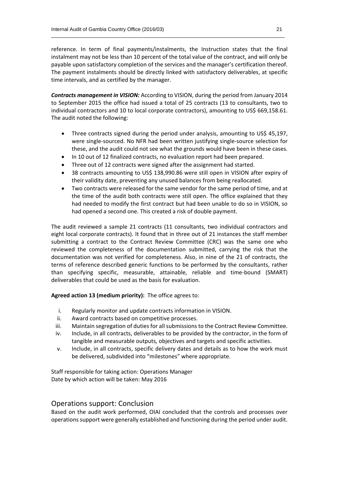reference. In term of final payments/instalments, the Instruction states that the final instalment may not be less than 10 percent of the total value of the contract, and will only be payable upon satisfactory completion of the services and the manager's certification thereof. The payment instalments should be directly linked with satisfactory deliverables, at specific time intervals, and as certified by the manager.

 $\_$  , and the set of the set of the set of the set of the set of the set of the set of the set of the set of the set of the set of the set of the set of the set of the set of the set of the set of the set of the set of th

*Contracts management in VISION:* According to VISION, during the period from January 2014 to September 2015 the office had issued a total of 25 contracts (13 to consultants, two to individual contractors and 10 to local corporate contractors), amounting to US\$ 669,158.61. The audit noted the following:

- Three contracts signed during the period under analysis, amounting to US\$ 45,197, were single-sourced. No NFR had been written justifying single-source selection for these, and the audit could not see what the grounds would have been in these cases.
- In 10 out of 12 finalized contracts, no evaluation report had been prepared.
- Three out of 12 contracts were signed after the assignment had started.
- 38 contracts amounting to US\$ 138,990.86 were still open in VISION after expiry of their validity date, preventing any unused balances from being reallocated.
- Two contracts were released for the same vendor for the same period of time, and at the time of the audit both contracts were still open. The office explained that they had needed to modify the first contract but had been unable to do so in VISION, so had opened a second one. This created a risk of double payment.

The audit reviewed a sample 21 contracts (11 consultants, two individual contractors and eight local corporate contracts). It found that in three out of 21 instances the staff member submitting a contract to the Contract Review Committee (CRC) was the same one who reviewed the completeness of the documentation submitted, carrying the risk that the documentation was not verified for completeness. Also, in nine of the 21 of contracts, the terms of reference described generic functions to be performed by the consultants, rather than specifying specific, measurable, attainable, reliable and time-bound (SMART) deliverables that could be used as the basis for evaluation.

**Agreed action 13 (medium priority):** The office agrees to:

- i. Regularly monitor and update contracts information in VISION.
- ii. Award contracts based on competitive processes.
- iii. Maintain segregation of duties for all submissions to the Contract Review Committee.
- iv. Include, in all contracts, deliverables to be provided by the contractor, in the form of tangible and measurable outputs, objectives and targets and specific activities.
- v. Include, in all contracts, specific delivery dates and details as to how the work must be delivered, subdivided into "milestones" where appropriate.

Staff responsible for taking action: Operations Manager Date by which action will be taken: May 2016

#### Operations support: Conclusion

Based on the audit work performed, OIAI concluded that the controls and processes over operations support were generally established and functioning during the period under audit.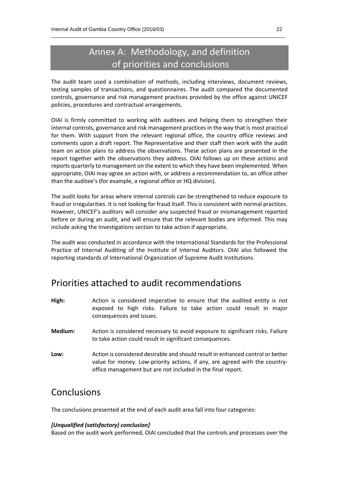# Annex A: Methodology, and definition of priorities and conclusions

 $\_$  , and the set of the set of the set of the set of the set of the set of the set of the set of the set of the set of the set of the set of the set of the set of the set of the set of the set of the set of the set of th

The audit team used a combination of methods, including interviews, document reviews, testing samples of transactions, and questionnaires. The audit compared the documented controls, governance and risk management practices provided by the office against UNICEF policies, procedures and contractual arrangements.

OIAI is firmly committed to working with auditees and helping them to strengthen their internal controls, governance and risk management practices in the way that is most practical for them. With support from the relevant regional office, the country office reviews and comments upon a draft report. The Representative and their staff then work with the audit team on action plans to address the observations. These action plans are presented in the report together with the observations they address. OIAI follows up on these actions and reports quarterly to management on the extent to which they have been implemented. When appropriate, OIAI may agree an action with, or address a recommendation to, an office other than the auditee's (for example, a regional office or HQ division).

The audit looks for areas where internal controls can be strengthened to reduce exposure to fraud or irregularities. It is not looking for fraud itself. This is consistent with normal practices. However, UNICEF's auditors will consider any suspected fraud or mismanagement reported before or during an audit, and will ensure that the relevant bodies are informed. This may include asking the Investigations section to take action if appropriate.

The audit was conducted in accordance with the International Standards for the Professional Practice of Internal Auditing of the Institute of Internal Auditors. OIAI also followed the reporting standards of International Organization of Supreme Audit Institutions.

## Priorities attached to audit recommendations

- **High:** Action is considered imperative to ensure that the audited entity is not exposed to high risks. Failure to take action could result in major consequences and issues.
- **Medium:** Action is considered necessary to avoid exposure to significant risks. Failure to take action could result in significant consequences.
- **Low:** Action is considered desirable and should result in enhanced control or better value for money. Low-priority actions, if any, are agreed with the countryoffice management but are not included in the final report.

## Conclusions

The conclusions presented at the end of each audit area fall into four categories:

#### *[Unqualified (satisfactory) conclusion]*

Based on the audit work performed, OIAI concluded that the controls and processes over the